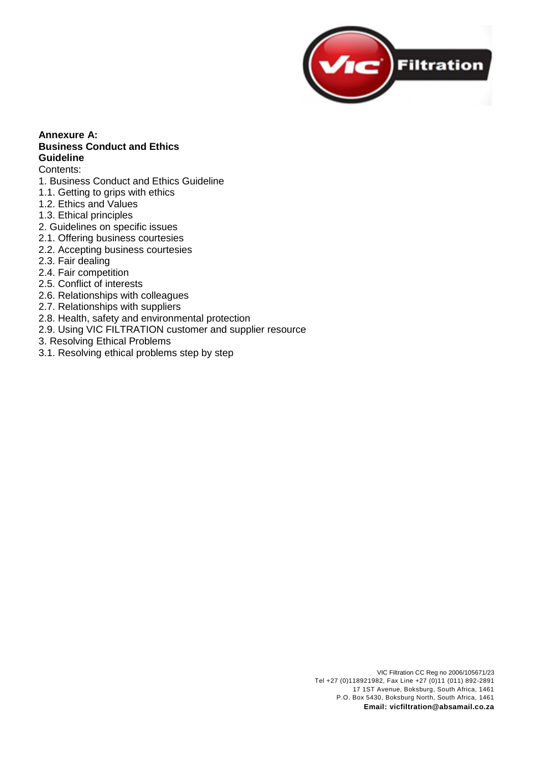

## **Annexure A: Business Conduct and Ethics Guideline**

#### Contents:

- 1. Business Conduct and Ethics Guideline
- 1.1. Getting to grips with ethics
- 1.2. Ethics and Values
- 1.3. Ethical principles
- 2. Guidelines on specific issues
- 2.1. Offering business courtesies
- 2.2. Accepting business courtesies
- 2.3. Fair dealing
- 2.4. Fair competition
- 2.5. Conflict of interests
- 2.6. Relationships with colleagues
- 2.7. Relationships with suppliers
- 2.8. Health, safety and environmental protection
- 2.9. Using VIC FILTRATION customer and supplier resource
- 3. Resolving Ethical Problems
- 3.1. Resolving ethical problems step by step

VIC Filtration CC Reg no 2006/105671/23 Tel +27 (0)118921982, Fax Line +27 (0)11 (011) 892-2891 17 1ST Avenue, Boksburg, South Africa, 1461 P.O. Box 5430, Boksburg North, South Africa, 1461 **Email: vicfiltration@absamail.co.za**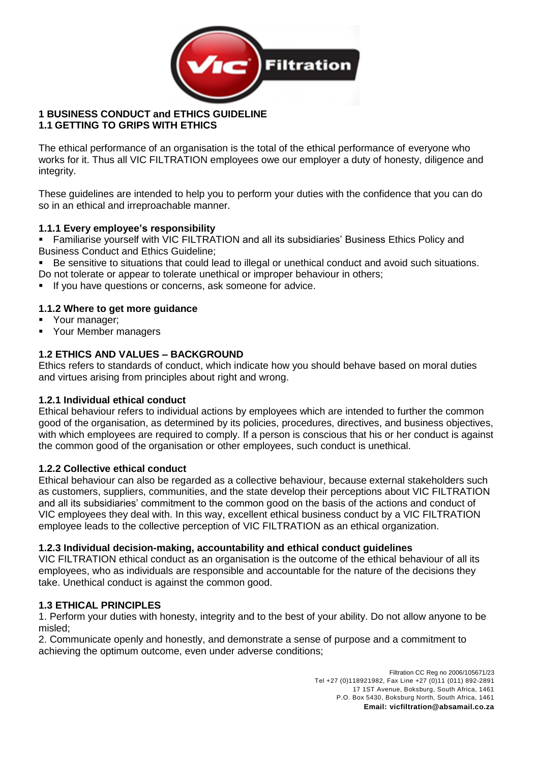

### **1 BUSINESS CONDUCT and ETHICS GUIDELINE 1.1 GETTING TO GRIPS WITH ETHICS**

The ethical performance of an organisation is the total of the ethical performance of everyone who works for it. Thus all VIC FILTRATION employees owe our employer a duty of honesty, diligence and integrity.

These guidelines are intended to help you to perform your duties with the confidence that you can do so in an ethical and irreproachable manner.

### **1.1.1 Every employee's responsibility**

**EXECT** Familiarise yourself with VIC FILTRATION and all its subsidiaries' Business Ethics Policy and Business Conduct and Ethics Guideline;

- Be sensitive to situations that could lead to illegal or unethical conduct and avoid such situations.
- Do not tolerate or appear to tolerate unethical or improper behaviour in others;
- If you have questions or concerns, ask someone for advice.

### **1.1.2 Where to get more guidance**

- Your manager;
- Your Member managers

### **1.2 ETHICS AND VALUES – BACKGROUND**

Ethics refers to standards of conduct, which indicate how you should behave based on moral duties and virtues arising from principles about right and wrong.

### **1.2.1 Individual ethical conduct**

Ethical behaviour refers to individual actions by employees which are intended to further the common good of the organisation, as determined by its policies, procedures, directives, and business objectives, with which employees are required to comply. If a person is conscious that his or her conduct is against the common good of the organisation or other employees, such conduct is unethical.

### **1.2.2 Collective ethical conduct**

Ethical behaviour can also be regarded as a collective behaviour, because external stakeholders such as customers, suppliers, communities, and the state develop their perceptions about VIC FILTRATION and all its subsidiaries' commitment to the common good on the basis of the actions and conduct of VIC employees they deal with. In this way, excellent ethical business conduct by a VIC FILTRATION employee leads to the collective perception of VIC FILTRATION as an ethical organization.

### **1.2.3 Individual decision-making, accountability and ethical conduct guidelines**

VIC FILTRATION ethical conduct as an organisation is the outcome of the ethical behaviour of all its employees, who as individuals are responsible and accountable for the nature of the decisions they take. Unethical conduct is against the common good.

#### **1.3 ETHICAL PRINCIPLES**

1. Perform your duties with honesty, integrity and to the best of your ability. Do not allow anyone to be misled;

2. Communicate openly and honestly, and demonstrate a sense of purpose and a commitment to achieving the optimum outcome, even under adverse conditions;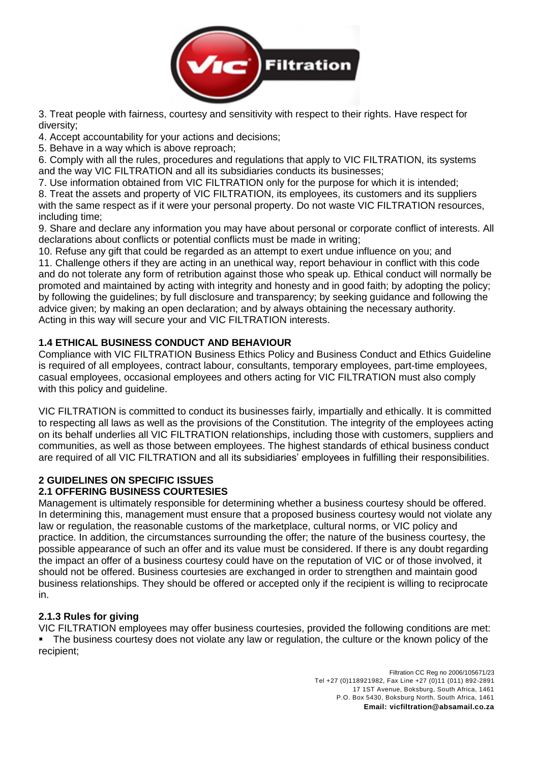

3. Treat people with fairness, courtesy and sensitivity with respect to their rights. Have respect for diversity;

4. Accept accountability for your actions and decisions;

5. Behave in a way which is above reproach;

6. Comply with all the rules, procedures and regulations that apply to VIC FILTRATION, its systems and the way VIC FILTRATION and all its subsidiaries conducts its businesses;

7. Use information obtained from VIC FILTRATION only for the purpose for which it is intended;

8. Treat the assets and property of VIC FILTRATION, its employees, its customers and its suppliers with the same respect as if it were your personal property. Do not waste VIC FILTRATION resources, including time;

9. Share and declare any information you may have about personal or corporate conflict of interests. All declarations about conflicts or potential conflicts must be made in writing;

10. Refuse any gift that could be regarded as an attempt to exert undue influence on you; and 11. Challenge others if they are acting in an unethical way, report behaviour in conflict with this code and do not tolerate any form of retribution against those who speak up. Ethical conduct will normally be promoted and maintained by acting with integrity and honesty and in good faith; by adopting the policy; by following the guidelines; by full disclosure and transparency; by seeking guidance and following the advice given; by making an open declaration; and by always obtaining the necessary authority. Acting in this way will secure your and VIC FILTRATION interests.

## **1.4 ETHICAL BUSINESS CONDUCT AND BEHAVIOUR**

Compliance with VIC FILTRATION Business Ethics Policy and Business Conduct and Ethics Guideline is required of all employees, contract labour, consultants, temporary employees, part-time employees, casual employees, occasional employees and others acting for VIC FILTRATION must also comply with this policy and guideline.

VIC FILTRATION is committed to conduct its businesses fairly, impartially and ethically. It is committed to respecting all laws as well as the provisions of the Constitution. The integrity of the employees acting on its behalf underlies all VIC FILTRATION relationships, including those with customers, suppliers and communities, as well as those between employees. The highest standards of ethical business conduct are required of all VIC FILTRATION and all its subsidiaries' employees in fulfilling their responsibilities.

## **2 GUIDELINES ON SPECIFIC ISSUES**

### **2.1 OFFERING BUSINESS COURTESIES**

Management is ultimately responsible for determining whether a business courtesy should be offered. In determining this, management must ensure that a proposed business courtesy would not violate any law or regulation, the reasonable customs of the marketplace, cultural norms, or VIC policy and practice. In addition, the circumstances surrounding the offer; the nature of the business courtesy, the possible appearance of such an offer and its value must be considered. If there is any doubt regarding the impact an offer of a business courtesy could have on the reputation of VIC or of those involved, it should not be offered. Business courtesies are exchanged in order to strengthen and maintain good business relationships. They should be offered or accepted only if the recipient is willing to reciprocate in.

### **2.1.3 Rules for giving**

VIC FILTRATION employees may offer business courtesies, provided the following conditions are met: **•** The business courtesy does not violate any law or regulation, the culture or the known policy of the recipient;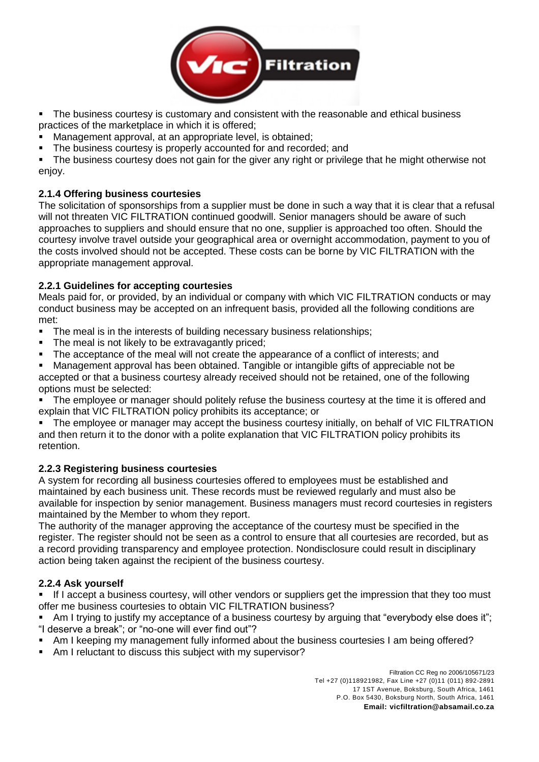

■ The business courtesy is customary and consistent with the reasonable and ethical business practices of the marketplace in which it is offered;

Management approval, at an appropriate level, is obtained:

**•** The business courtesy is properly accounted for and recorded; and

■ The business courtesy does not gain for the giver any right or privilege that he might otherwise not enjoy.

## **2.1.4 Offering business courtesies**

The solicitation of sponsorships from a supplier must be done in such a way that it is clear that a refusal will not threaten VIC FILTRATION continued goodwill. Senior managers should be aware of such approaches to suppliers and should ensure that no one, supplier is approached too often. Should the courtesy involve travel outside your geographical area or overnight accommodation, payment to you of the costs involved should not be accepted. These costs can be borne by VIC FILTRATION with the appropriate management approval.

### **2.2.1 Guidelines for accepting courtesies**

Meals paid for, or provided, by an individual or company with which VIC FILTRATION conducts or may conduct business may be accepted on an infrequent basis, provided all the following conditions are met:

- **•** The meal is in the interests of building necessary business relationships;
- The meal is not likely to be extravagantly priced;
- The acceptance of the meal will not create the appearance of a conflict of interests; and

▪ Management approval has been obtained. Tangible or intangible gifts of appreciable not be accepted or that a business courtesy already received should not be retained, one of the following options must be selected:

The employee or manager should politely refuse the business courtesy at the time it is offered and explain that VIC FILTRATION policy prohibits its acceptance; or

The employee or manager may accept the business courtesy initially, on behalf of VIC FILTRATION and then return it to the donor with a polite explanation that VIC FILTRATION policy prohibits its retention.

## **2.2.3 Registering business courtesies**

A system for recording all business courtesies offered to employees must be established and maintained by each business unit. These records must be reviewed regularly and must also be available for inspection by senior management. Business managers must record courtesies in registers maintained by the Member to whom they report.

The authority of the manager approving the acceptance of the courtesy must be specified in the register. The register should not be seen as a control to ensure that all courtesies are recorded, but as a record providing transparency and employee protection. Nondisclosure could result in disciplinary action being taken against the recipient of the business courtesy.

### **2.2.4 Ask yourself**

If I accept a business courtesy, will other vendors or suppliers get the impression that they too must offer me business courtesies to obtain VIC FILTRATION business?

Am I trying to justify my acceptance of a business courtesy by arguing that "everybody else does it"; "I deserve a break"; or "no-one will ever find out"?

- Am I keeping my management fully informed about the business courtesies I am being offered?
- Am I reluctant to discuss this subject with my supervisor?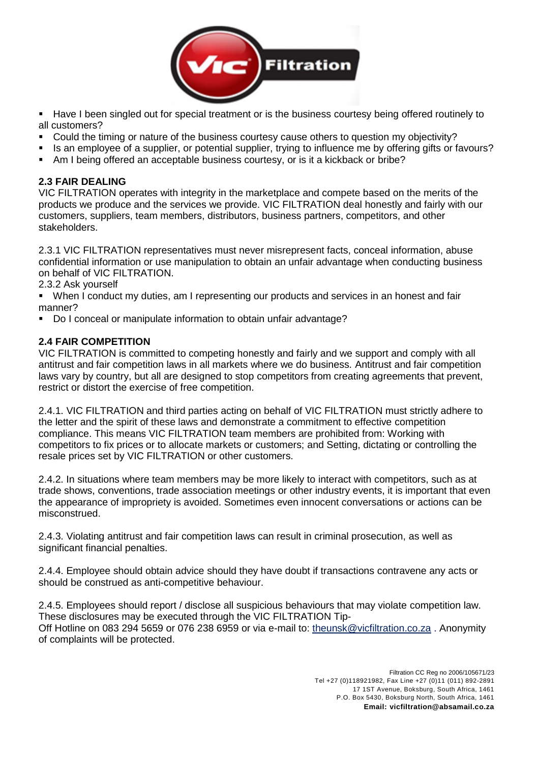

- Have I been singled out for special treatment or is the business courtesy being offered routinely to all customers?
- Could the timing or nature of the business courtesy cause others to question my objectivity?
- Is an employee of a supplier, or potential supplier, trying to influence me by offering gifts or favours?
- Am I being offered an acceptable business courtesy, or is it a kickback or bribe?

### **2.3 FAIR DEALING**

VIC FILTRATION operates with integrity in the marketplace and compete based on the merits of the products we produce and the services we provide. VIC FILTRATION deal honestly and fairly with our customers, suppliers, team members, distributors, business partners, competitors, and other stakeholders.

2.3.1 VIC FILTRATION representatives must never misrepresent facts, conceal information, abuse confidential information or use manipulation to obtain an unfair advantage when conducting business on behalf of VIC FILTRATION.

2.3.2 Ask yourself

▪ When I conduct my duties, am I representing our products and services in an honest and fair manner?

Do I conceal or manipulate information to obtain unfair advantage?

## **2.4 FAIR COMPETITION**

VIC FILTRATION is committed to competing honestly and fairly and we support and comply with all antitrust and fair competition laws in all markets where we do business. Antitrust and fair competition laws vary by country, but all are designed to stop competitors from creating agreements that prevent, restrict or distort the exercise of free competition.

2.4.1. VIC FILTRATION and third parties acting on behalf of VIC FILTRATION must strictly adhere to the letter and the spirit of these laws and demonstrate a commitment to effective competition compliance. This means VIC FILTRATION team members are prohibited from: Working with competitors to fix prices or to allocate markets or customers; and Setting, dictating or controlling the resale prices set by VIC FILTRATION or other customers.

2.4.2. In situations where team members may be more likely to interact with competitors, such as at trade shows, conventions, trade association meetings or other industry events, it is important that even the appearance of impropriety is avoided. Sometimes even innocent conversations or actions can be misconstrued.

2.4.3. Violating antitrust and fair competition laws can result in criminal prosecution, as well as significant financial penalties.

2.4.4. Employee should obtain advice should they have doubt if transactions contravene any acts or should be construed as anti-competitive behaviour.

2.4.5. Employees should report / disclose all suspicious behaviours that may violate competition law. These disclosures may be executed through the VIC FILTRATION Tip-Off Hotline on 083 294 5659 or 076 238 6959 or via e-mail to: theunsk@vicfiltration.co.za. Anonymity of complaints will be protected.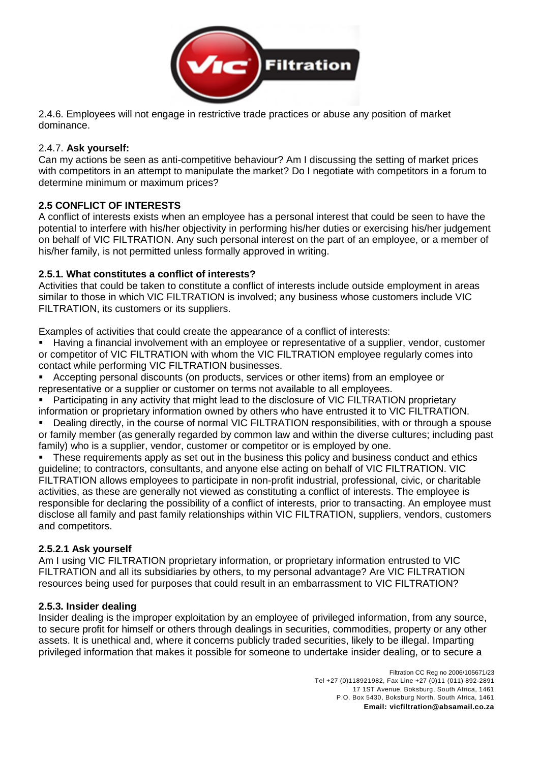

2.4.6. Employees will not engage in restrictive trade practices or abuse any position of market dominance.

### 2.4.7. **Ask yourself:**

Can my actions be seen as anti-competitive behaviour? Am I discussing the setting of market prices with competitors in an attempt to manipulate the market? Do I negotiate with competitors in a forum to determine minimum or maximum prices?

### **2.5 CONFLICT OF INTERESTS**

A conflict of interests exists when an employee has a personal interest that could be seen to have the potential to interfere with his/her objectivity in performing his/her duties or exercising his/her judgement on behalf of VIC FILTRATION. Any such personal interest on the part of an employee, or a member of his/her family, is not permitted unless formally approved in writing.

### **2.5.1. What constitutes a conflict of interests?**

Activities that could be taken to constitute a conflict of interests include outside employment in areas similar to those in which VIC FILTRATION is involved; any business whose customers include VIC FILTRATION, its customers or its suppliers.

Examples of activities that could create the appearance of a conflict of interests:

Having a financial involvement with an employee or representative of a supplier, vendor, customer or competitor of VIC FILTRATION with whom the VIC FILTRATION employee regularly comes into contact while performing VIC FILTRATION businesses.

▪ Accepting personal discounts (on products, services or other items) from an employee or representative or a supplier or customer on terms not available to all employees.

Participating in any activity that might lead to the disclosure of VIC FILTRATION proprietary information or proprietary information owned by others who have entrusted it to VIC FILTRATION.

■ Dealing directly, in the course of normal VIC FILTRATION responsibilities, with or through a spouse or family member (as generally regarded by common law and within the diverse cultures; including past family) who is a supplier, vendor, customer or competitor or is employed by one.

These requirements apply as set out in the business this policy and business conduct and ethics guideline; to contractors, consultants, and anyone else acting on behalf of VIC FILTRATION. VIC FILTRATION allows employees to participate in non-profit industrial, professional, civic, or charitable activities, as these are generally not viewed as constituting a conflict of interests. The employee is responsible for declaring the possibility of a conflict of interests, prior to transacting. An employee must disclose all family and past family relationships within VIC FILTRATION, suppliers, vendors, customers and competitors.

## **2.5.2.1 Ask yourself**

Am I using VIC FILTRATION proprietary information, or proprietary information entrusted to VIC FILTRATION and all its subsidiaries by others, to my personal advantage? Are VIC FILTRATION resources being used for purposes that could result in an embarrassment to VIC FILTRATION?

### **2.5.3. Insider dealing**

Insider dealing is the improper exploitation by an employee of privileged information, from any source, to secure profit for himself or others through dealings in securities, commodities, property or any other assets. It is unethical and, where it concerns publicly traded securities, likely to be illegal. Imparting privileged information that makes it possible for someone to undertake insider dealing, or to secure a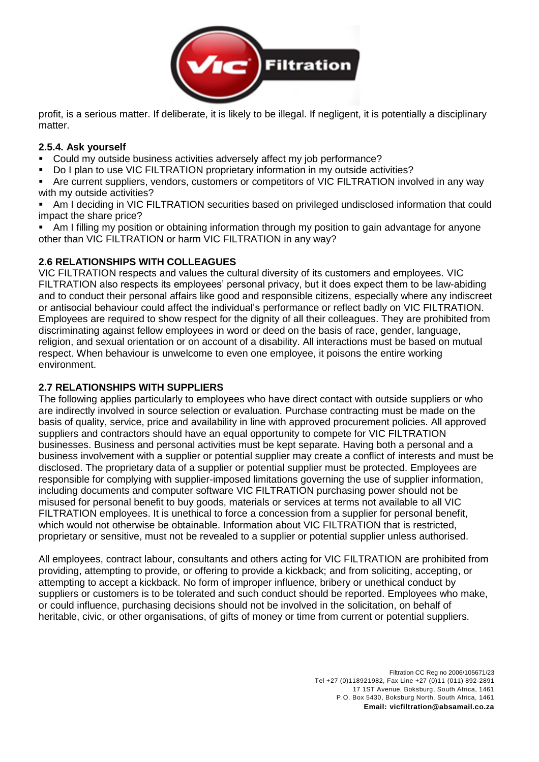

profit, is a serious matter. If deliberate, it is likely to be illegal. If negligent, it is potentially a disciplinary matter.

#### **2.5.4. Ask yourself**

- Could my outside business activities adversely affect my job performance?
- Do I plan to use VIC FILTRATION proprietary information in my outside activities?

Are current suppliers, vendors, customers or competitors of VIC FILTRATION involved in any way with my outside activities?

■ Am I deciding in VIC FILTRATION securities based on privileged undisclosed information that could impact the share price?

Am I filling my position or obtaining information through my position to gain advantage for anyone other than VIC FILTRATION or harm VIC FILTRATION in any way?

### **2.6 RELATIONSHIPS WITH COLLEAGUES**

VIC FILTRATION respects and values the cultural diversity of its customers and employees. VIC FILTRATION also respects its employees' personal privacy, but it does expect them to be law-abiding and to conduct their personal affairs like good and responsible citizens, especially where any indiscreet or antisocial behaviour could affect the individual's performance or reflect badly on VIC FILTRATION. Employees are required to show respect for the dignity of all their colleagues. They are prohibited from discriminating against fellow employees in word or deed on the basis of race, gender, language, religion, and sexual orientation or on account of a disability. All interactions must be based on mutual respect. When behaviour is unwelcome to even one employee, it poisons the entire working environment.

### **2.7 RELATIONSHIPS WITH SUPPLIERS**

The following applies particularly to employees who have direct contact with outside suppliers or who are indirectly involved in source selection or evaluation. Purchase contracting must be made on the basis of quality, service, price and availability in line with approved procurement policies. All approved suppliers and contractors should have an equal opportunity to compete for VIC FILTRATION businesses. Business and personal activities must be kept separate. Having both a personal and a business involvement with a supplier or potential supplier may create a conflict of interests and must be disclosed. The proprietary data of a supplier or potential supplier must be protected. Employees are responsible for complying with supplier-imposed limitations governing the use of supplier information, including documents and computer software VIC FILTRATION purchasing power should not be misused for personal benefit to buy goods, materials or services at terms not available to all VIC FILTRATION employees. It is unethical to force a concession from a supplier for personal benefit, which would not otherwise be obtainable. Information about VIC FILTRATION that is restricted, proprietary or sensitive, must not be revealed to a supplier or potential supplier unless authorised.

All employees, contract labour, consultants and others acting for VIC FILTRATION are prohibited from providing, attempting to provide, or offering to provide a kickback; and from soliciting, accepting, or attempting to accept a kickback. No form of improper influence, bribery or unethical conduct by suppliers or customers is to be tolerated and such conduct should be reported. Employees who make, or could influence, purchasing decisions should not be involved in the solicitation, on behalf of heritable, civic, or other organisations, of gifts of money or time from current or potential suppliers.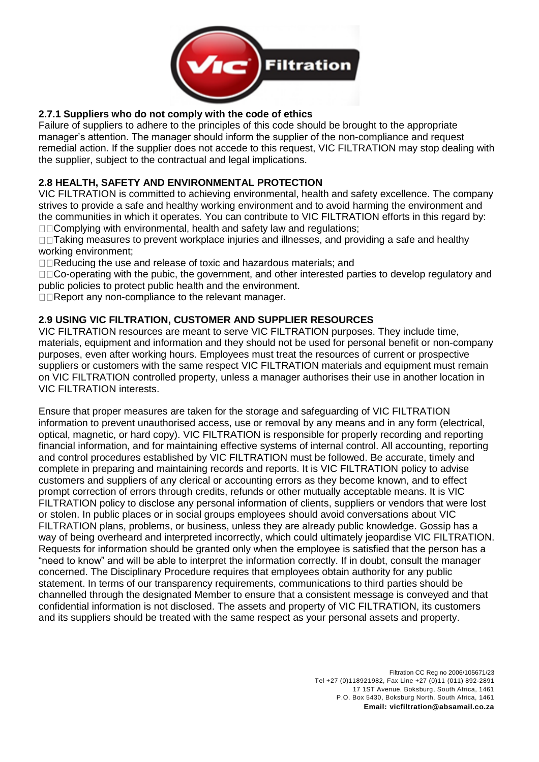

### **2.7.1 Suppliers who do not comply with the code of ethics**

Failure of suppliers to adhere to the principles of this code should be brought to the appropriate manager's attention. The manager should inform the supplier of the non-compliance and request remedial action. If the supplier does not accede to this request, VIC FILTRATION may stop dealing with the supplier, subject to the contractual and legal implications.

### **2.8 HEALTH, SAFETY AND ENVIRONMENTAL PROTECTION**

VIC FILTRATION is committed to achieving environmental, health and safety excellence. The company strives to provide a safe and healthy working environment and to avoid harming the environment and the communities in which it operates. You can contribute to VIC FILTRATION efforts in this regard by:  $\square$  $\square$ Complying with environmental, health and safety law and regulations;

□□Taking measures to prevent workplace injuries and illnesses, and providing a safe and healthy working environment;

□□Reducing the use and release of toxic and hazardous materials; and

 $\square \square$ Co-operating with the pubic, the government, and other interested parties to develop regulatory and public policies to protect public health and the environment.

 $\Box\Box$ Report any non-compliance to the relevant manager.

### **2.9 USING VIC FILTRATION, CUSTOMER AND SUPPLIER RESOURCES**

VIC FILTRATION resources are meant to serve VIC FILTRATION purposes. They include time, materials, equipment and information and they should not be used for personal benefit or non-company purposes, even after working hours. Employees must treat the resources of current or prospective suppliers or customers with the same respect VIC FILTRATION materials and equipment must remain on VIC FILTRATION controlled property, unless a manager authorises their use in another location in VIC FILTRATION interests.

Ensure that proper measures are taken for the storage and safeguarding of VIC FILTRATION information to prevent unauthorised access, use or removal by any means and in any form (electrical, optical, magnetic, or hard copy). VIC FILTRATION is responsible for properly recording and reporting financial information, and for maintaining effective systems of internal control. All accounting, reporting and control procedures established by VIC FILTRATION must be followed. Be accurate, timely and complete in preparing and maintaining records and reports. It is VIC FILTRATION policy to advise customers and suppliers of any clerical or accounting errors as they become known, and to effect prompt correction of errors through credits, refunds or other mutually acceptable means. It is VIC FILTRATION policy to disclose any personal information of clients, suppliers or vendors that were lost or stolen. In public places or in social groups employees should avoid conversations about VIC FILTRATION plans, problems, or business, unless they are already public knowledge. Gossip has a way of being overheard and interpreted incorrectly, which could ultimately jeopardise VIC FILTRATION. Requests for information should be granted only when the employee is satisfied that the person has a "need to know" and will be able to interpret the information correctly. If in doubt, consult the manager concerned. The Disciplinary Procedure requires that employees obtain authority for any public statement. In terms of our transparency requirements, communications to third parties should be channelled through the designated Member to ensure that a consistent message is conveyed and that confidential information is not disclosed. The assets and property of VIC FILTRATION, its customers and its suppliers should be treated with the same respect as your personal assets and property.